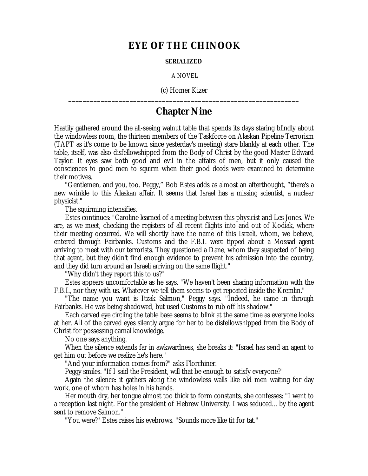## **EYE OF THE CHINOOK**

## **SERIALIZED**

A NOVEL

(c) Homer Kizer **\_\_\_\_\_\_\_\_\_\_\_\_\_\_\_\_\_\_\_\_\_\_\_\_\_\_\_\_\_\_\_\_\_\_\_\_\_\_\_\_\_\_\_\_\_\_\_\_\_\_\_\_\_\_\_\_\_\_\_\_\_\_\_\_**

## **Chapter Nine**

Hastily gathered around the all-seeing walnut table that spends its days staring blindly about the windowless room, the thirteen members of the Taskforce on Alaskan Pipeline Terrorism (TAPT as it's come to be known since yesterday's meeting) stare blankly at each other. The table, itself, was also disfellowshipped from the Body of Christ by the good Master Edward Taylor. It eyes saw both good and evil in the affairs of men, but it only caused the consciences to good men to squirm when their good deeds were examined to determine their motives.

"Gentlemen, and you, too. Peggy," Bob Estes adds as almost an afterthought, "there's a new wrinkle to this Alaskan affair. It seems that Israel has a missing scientist, a nuclear physicist."

The squirming intensifies.

Estes continues: "Caroline learned of a meeting between this physicist and Les Jones. We are, as we meet, checking the registers of all recent flights into and out of Kodiak, where their meeting occurred. We will shortly have the name of this Israeli, whom, we believe, entered through Fairbanks. Customs and the F.B.I. were tipped about a Mossad agent arriving to meet with our terrorists. They questioned a Dane, whom they suspected of being that agent, but they didn't find enough evidence to prevent his admission into the country, and they did turn around an Israeli arriving on the same flight."

"Why didn't they report this to us?"

Estes appears uncomfortable as he says, "We haven't been sharing information with the F.B.I., nor they with us. Whatever we tell them seems to get repeated inside the Kremlin."

"The name you want is Itzak Salmon," Peggy says. "Indeed, he came in through Fairbanks. He was being shadowed, but used Customs to rub off his shadow."

Each carved eye circling the table base seems to blink at the same time as everyone looks at her. All of the carved eyes silently argue for her to be disfellowshipped from the Body of Christ for possessing carnal knowledge.

No one says anything.

When the silence extends far in awkwardness, she breaks it: "Israel has send an agent to get him out before we realize he's here."

"And your information comes from?" asks Florchiner.

Peggy smiles. "If I said the President, will that be enough to satisfy everyone?"

Again the silence: it gathers along the windowless walls like old men waiting for day work, one of whom has holes in his hands.

Her mouth dry, her tongue almost too thick to form constants, she confesses: "I went to a reception last night. For the president of Hebrew University. I was seduced… by the agent sent to remove Salmon."

"You were?" Estes raises his eyebrows. "Sounds more like tit for tat."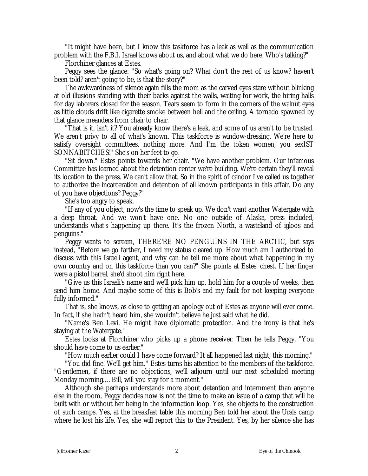"It might have been, but I know this taskforce has a leak as well as the communication problem with the F.B.I. Israel knows about us, and about what we do here. Who's talking?"

Florchiner glances at Estes.

Peggy sees the glance: "So what's going on? What don't the rest of us know? haven't been told? aren't going to be, is that the story?"

The awkwardness of silence again fills the room as the carved eyes stare without blinking at old illusions standing with their backs against the walls, waiting for work, the hiring halls for day laborers closed for the season. Tears seem to form in the corners of the walnut eyes as little clouds drift like cigarette smoke between hell and the ceiling. A tornado spawned by that glance meanders from chair to chair.

"That is it, isn't it? You already know there's a leak, and some of us aren't to be trusted. We aren't privy to all of what's known. This taskforce is window-dressing. We're here to satisfy oversight committees, nothing more. And I'm the token women, you sexIST SONNABITCHES!" She's on her feet to go.

"Sit down." Estes points towards her chair. "We have another problem. Our infamous Committee has learned about the detention center we're building. We're certain they'll reveal its location to the press. We can't allow that. So in the spirit of candor I've called us together to authorize the incarceration and detention of all known participants in this affair. Do any of you have objections? Peggy?"

She's too angry to speak.

"If any of you object, now's the time to speak up. We don't want another Watergate with a deep throat. And we won't have one. No one outside of Alaska, press included, understands what's happening up there. It's the frozen North, a wasteland of igloos and penguins."

Peggy wants to scream, THERE'RE NO PENGUINS IN THE ARCTIC, but says instead, "Before we go farther, I need my status cleared up. How much am I authorized to discuss with this Israeli agent, and why can he tell me more about what happening in my own country and on this taskforce than you can?" She points at Estes' chest. If her finger were a pistol barrel, she'd shoot him right here.

"Give us this Israeli's name and we'll pick him up, hold him for a couple of weeks, then send him home. And maybe some of this is Bob's and my fault for not keeping everyone fully informed."

That is, she knows, as close to getting an apology out of Estes as anyone will ever come. In fact, if she hadn't heard him, she wouldn't believe he just said what he did.

"Name's Ben Levi. He might have diplomatic protection. And the irony is that he's staying at the Watergate."

Estes looks at Florchiner who picks up a phone receiver. Then he tells Peggy, "You should have come to us earlier."

"How much earlier could I have come forward? It all happened last night, this morning."

"You did fine. We'll get him." Estes turns his attention to the members of the taskforce. "Gentlemen, if there are no objections, we'll adjourn until our next scheduled meeting Monday morning.… Bill, will you stay for a moment."

Although she perhaps understands more about detention and internment than anyone else in the room, Peggy decides now is not the time to make an issue of a camp that will be built with or without her being in the information loop. Yes, she objects to the construction of such camps. Yes, at the breakfast table this morning Ben told her about the Urals camp where he lost his life. Yes, she will report this to the President. Yes, by her silence she has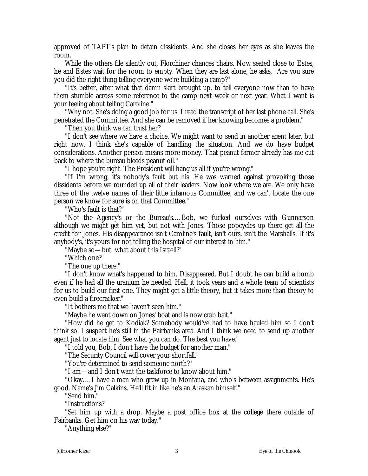approved of TAPT's plan to detain dissidents. And she closes her eyes as she leaves the room.

While the others file silently out, Florchiner changes chairs. Now seated close to Estes, he and Estes wait for the room to empty. When they are last alone, he asks, "Are you sure you did the right thing telling everyone we're building a camp?"

"It's better, after what that damn skirt brought up, to tell everyone now than to have them stumble across some reference to the camp next week or next year. What I want is your feeling about telling Caroline."

"Why not. She's doing a good job for us. I read the transcript of her last phone call. She's penetrated the Committee. And she can be removed if her knowing becomes a problem."

"Then you think we can trust her?"

"I don't see where we have a choice. We might want to send in another agent later, but right now, I think she's capable of handling the situation. And we do have budget considerations. Another person means more money. That peanut farmer already has me cut back to where the bureau bleeds peanut oil."

"I hope you're right. The President will hang us all if you're wrong."

"If I'm wrong, it's nobody's fault but his. He was warned against provoking those dissidents before we rounded up all of their leaders. Now look where we are. We only have three of the twelve names of their little infamous Committee, and we can't locate the one person we know for sure is on that Committee."

"Who's fault is that?"

"Not the Agency's or the Bureau's.… Bob, we fucked ourselves with Gunnarson although we might get him yet, but not with Jones. Those popcycles up there get all the credit for Jones. His disappearance isn't Caroline's fault, isn't ours, isn't the Marshalls. If it's anybody's, it's yours for not telling the hospital of our interest in him."

"Maybe so— but what about this Israeli?"

"Which one?"

"The one up there."

"I don't know what's happened to him. Disappeared. But I doubt he can build a bomb even if he had all the uranium he needed. Hell, it took years and a whole team of scientists for us to build our first one. They might get a little theory, but it takes more than theory to even build a firecracker."

"It bothers me that we haven't seen him."

"Maybe he went down on Jones' boat and is now crab bait."

"How did he get to Kodiak? Somebody would've had to have hauled him so I don't think so. I suspect he's still in the Fairbanks area. And I think we need to send up another agent just to locate him. See what you can do. The best you have."

"I told you, Bob, I don't have the budget for another man."

"The Security Council will cover your shortfall."

"You're determined to send someone north?"

"I am— and I don't want the taskforce to know about him."

"Okay.… I have a man who grew up in Montana, and who's between assignments. He's good. Name's Jim Calkins. He'll fit in like he's an Alaskan himself."

"Send him."

"Instructions?"

"Set him up with a drop. Maybe a post office box at the college there outside of Fairbanks. Get him on his way today."

"Anything else?"